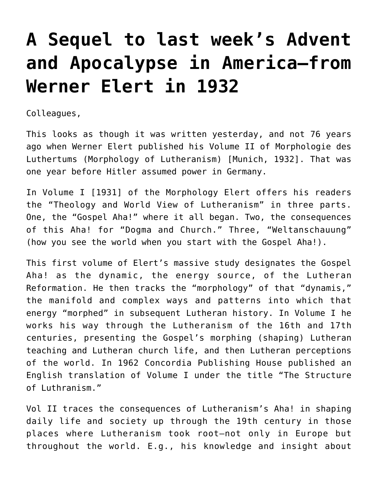## **[A Sequel to last week's Advent](https://crossings.org/a-sequel-to-last-weeks-advent-and-apocalypse-in-america-from-werner-elert-in-1932/) [and Apocalypse in America–from](https://crossings.org/a-sequel-to-last-weeks-advent-and-apocalypse-in-america-from-werner-elert-in-1932/) [Werner Elert in 1932](https://crossings.org/a-sequel-to-last-weeks-advent-and-apocalypse-in-america-from-werner-elert-in-1932/)**

Colleagues,

This looks as though it was written yesterday, and not 76 years ago when Werner Elert published his Volume II of Morphologie des Luthertums (Morphology of Lutheranism) [Munich, 1932]. That was one year before Hitler assumed power in Germany.

In Volume I [1931] of the Morphology Elert offers his readers the "Theology and World View of Lutheranism" in three parts. One, the "Gospel Aha!" where it all began. Two, the consequences of this Aha! for "Dogma and Church." Three, "Weltanschauung" (how you see the world when you start with the Gospel Aha!).

This first volume of Elert's massive study designates the Gospel Aha! as the dynamic, the energy source, of the Lutheran Reformation. He then tracks the "morphology" of that "dynamis," the manifold and complex ways and patterns into which that energy "morphed" in subsequent Lutheran history. In Volume I he works his way through the Lutheranism of the 16th and 17th centuries, presenting the Gospel's morphing (shaping) Lutheran teaching and Lutheran church life, and then Lutheran perceptions of the world. In 1962 Concordia Publishing House published an English translation of Volume I under the title "The Structure of Luthranism."

Vol II traces the consequences of Lutheranism's Aha! in shaping daily life and society up through the 19th century in those places where Lutheranism took root–not only in Europe but throughout the world. E.g., his knowledge and insight about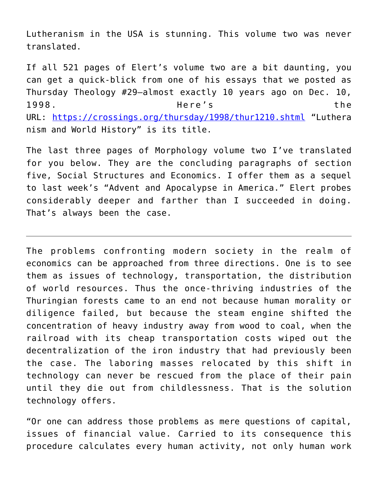Lutheranism in the USA is stunning. This volume two was never translated.

If all 521 pages of Elert's volume two are a bit daunting, you can get a quick-blick from one of his essays that we posted as Thursday Theology #29–almost exactly 10 years ago on Dec. 10, 1998. Here's the URL: <https://crossings.org/thursday/1998/thur1210.shtml> "Luthera nism and World History" is its title.

The last three pages of Morphology volume two I've translated for you below. They are the concluding paragraphs of section five, Social Structures and Economics. I offer them as a sequel to last week's "Advent and Apocalypse in America." Elert probes considerably deeper and farther than I succeeded in doing. That's always been the case.

The problems confronting modern society in the realm of economics can be approached from three directions. One is to see them as issues of technology, transportation, the distribution of world resources. Thus the once-thriving industries of the Thuringian forests came to an end not because human morality or diligence failed, but because the steam engine shifted the concentration of heavy industry away from wood to coal, when the railroad with its cheap transportation costs wiped out the decentralization of the iron industry that had previously been the case. The laboring masses relocated by this shift in technology can never be rescued from the place of their pain until they die out from childlessness. That is the solution technology offers.

"Or one can address those problems as mere questions of capital, issues of financial value. Carried to its consequence this procedure calculates every human activity, not only human work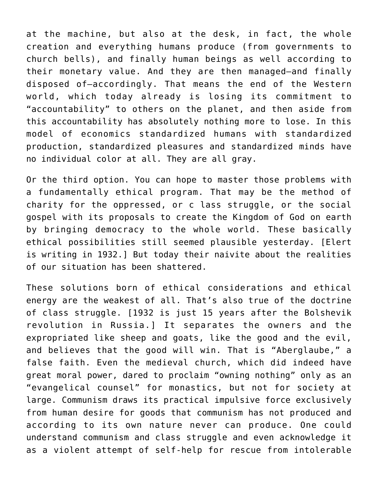at the machine, but also at the desk, in fact, the whole creation and everything humans produce (from governments to church bells), and finally human beings as well according to their monetary value. And they are then managed–and finally disposed of–accordingly. That means the end of the Western world, which today already is losing its commitment to "accountability" to others on the planet, and then aside from this accountability has absolutely nothing more to lose. In this model of economics standardized humans with standardized production, standardized pleasures and standardized minds have no individual color at all. They are all gray.

Or the third option. You can hope to master those problems with a fundamentally ethical program. That may be the method of charity for the oppressed, or c lass struggle, or the social gospel with its proposals to create the Kingdom of God on earth by bringing democracy to the whole world. These basically ethical possibilities still seemed plausible yesterday. [Elert is writing in 1932.] But today their naivite about the realities of our situation has been shattered.

These solutions born of ethical considerations and ethical energy are the weakest of all. That's also true of the doctrine of class struggle. [1932 is just 15 years after the Bolshevik revolution in Russia.] It separates the owners and the expropriated like sheep and goats, like the good and the evil, and believes that the good will win. That is "Aberglaube," a false faith. Even the medieval church, which did indeed have great moral power, dared to proclaim "owning nothing" only as an "evangelical counsel" for monastics, but not for society at large. Communism draws its practical impulsive force exclusively from human desire for goods that communism has not produced and according to its own nature never can produce. One could understand communism and class struggle and even acknowledge it as a violent attempt of self-help for rescue from intolerable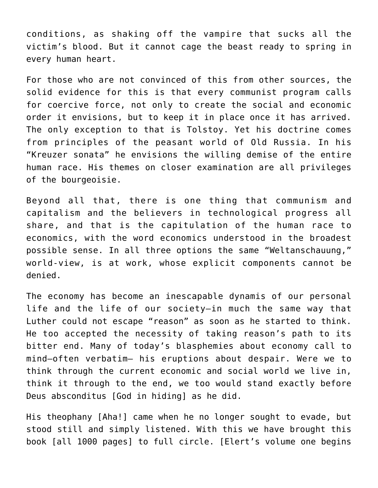conditions, as shaking off the vampire that sucks all the victim's blood. But it cannot cage the beast ready to spring in every human heart.

For those who are not convinced of this from other sources, the solid evidence for this is that every communist program calls for coercive force, not only to create the social and economic order it envisions, but to keep it in place once it has arrived. The only exception to that is Tolstoy. Yet his doctrine comes from principles of the peasant world of Old Russia. In his "Kreuzer sonata" he envisions the willing demise of the entire human race. His themes on closer examination are all privileges of the bourgeoisie.

Beyond all that, there is one thing that communism and capitalism and the believers in technological progress all share, and that is the capitulation of the human race to economics, with the word economics understood in the broadest possible sense. In all three options the same "Weltanschauung," world-view, is at work, whose explicit components cannot be denied.

The economy has become an inescapable dynamis of our personal life and the life of our society–in much the same way that Luther could not escape "reason" as soon as he started to think. He too accepted the necessity of taking reason's path to its bitter end. Many of today's blasphemies about economy call to mind–often verbatim– his eruptions about despair. Were we to think through the current economic and social world we live in, think it through to the end, we too would stand exactly before Deus absconditus [God in hiding] as he did.

His theophany [Aha!] came when he no longer sought to evade, but stood still and simply listened. With this we have brought this book [all 1000 pages] to full circle. [Elert's volume one begins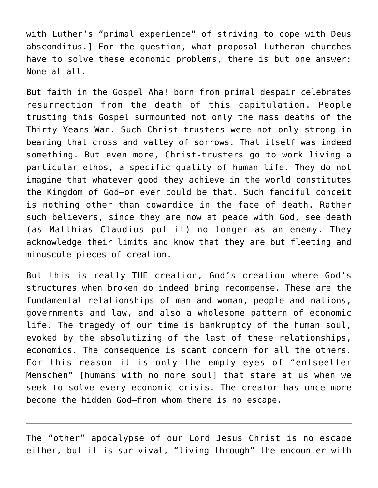with Luther's "primal experience" of striving to cope with Deus absconditus.] For the question, what proposal Lutheran churches have to solve these economic problems, there is but one answer: None at all.

But faith in the Gospel Aha! born from primal despair celebrates resurrection from the death of this capitulation. People trusting this Gospel surmounted not only the mass deaths of the Thirty Years War. Such Christ-trusters were not only strong in bearing that cross and valley of sorrows. That itself was indeed something. But even more, Christ-trusters go to work living a particular ethos, a specific quality of human life. They do not imagine that whatever good they achieve in the world constitutes the Kingdom of God–or ever could be that. Such fanciful conceit is nothing other than cowardice in the face of death. Rather such believers, since they are now at peace with God, see death (as Matthias Claudius put it) no longer as an enemy. They acknowledge their limits and know that they are but fleeting and minuscule pieces of creation.

But this is really THE creation, God's creation where God's structures when broken do indeed bring recompense. These are the fundamental relationships of man and woman, people and nations, governments and law, and also a wholesome pattern of economic life. The tragedy of our time is bankruptcy of the human soul, evoked by the absolutizing of the last of these relationships, economics. The consequence is scant concern for all the others. For this reason it is only the empty eyes of "entseelter Menschen" [humans with no more soul] that stare at us when we seek to solve every economic crisis. The creator has once more become the hidden God–from whom there is no escape.

The "other" apocalypse of our Lord Jesus Christ is no escape either, but it is sur-vival, "living through" the encounter with